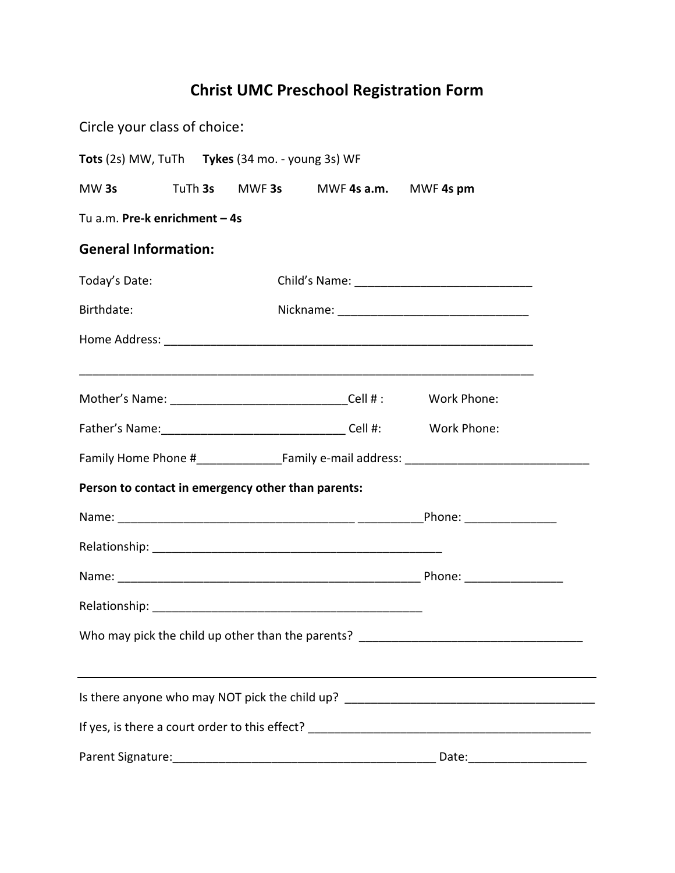## **Christ UMC Preschool Registration Form**

| Circle your class of choice:  |  |  |                                                    |                                      |                                |  |  |  |
|-------------------------------|--|--|----------------------------------------------------|--------------------------------------|--------------------------------|--|--|--|
|                               |  |  | Tots (2s) MW, TuTh Tykes (34 mo. - young 3s) WF    |                                      |                                |  |  |  |
| MW 3s                         |  |  |                                                    | TuTh 3s MWF 3s MWF 4s a.m. MWF 4s pm |                                |  |  |  |
| Tu a.m. Pre-k enrichment - 4s |  |  |                                                    |                                      |                                |  |  |  |
| <b>General Information:</b>   |  |  |                                                    |                                      |                                |  |  |  |
| Today's Date:                 |  |  |                                                    |                                      |                                |  |  |  |
| Birthdate:                    |  |  |                                                    |                                      |                                |  |  |  |
|                               |  |  |                                                    |                                      |                                |  |  |  |
|                               |  |  |                                                    |                                      |                                |  |  |  |
|                               |  |  |                                                    |                                      |                                |  |  |  |
|                               |  |  |                                                    |                                      |                                |  |  |  |
|                               |  |  |                                                    |                                      |                                |  |  |  |
|                               |  |  | Person to contact in emergency other than parents: |                                      |                                |  |  |  |
|                               |  |  |                                                    |                                      |                                |  |  |  |
|                               |  |  |                                                    |                                      |                                |  |  |  |
|                               |  |  |                                                    |                                      |                                |  |  |  |
| Relationship:                 |  |  |                                                    |                                      |                                |  |  |  |
|                               |  |  |                                                    |                                      |                                |  |  |  |
|                               |  |  |                                                    |                                      |                                |  |  |  |
|                               |  |  |                                                    |                                      |                                |  |  |  |
|                               |  |  |                                                    |                                      |                                |  |  |  |
|                               |  |  |                                                    |                                      | Date:_________________________ |  |  |  |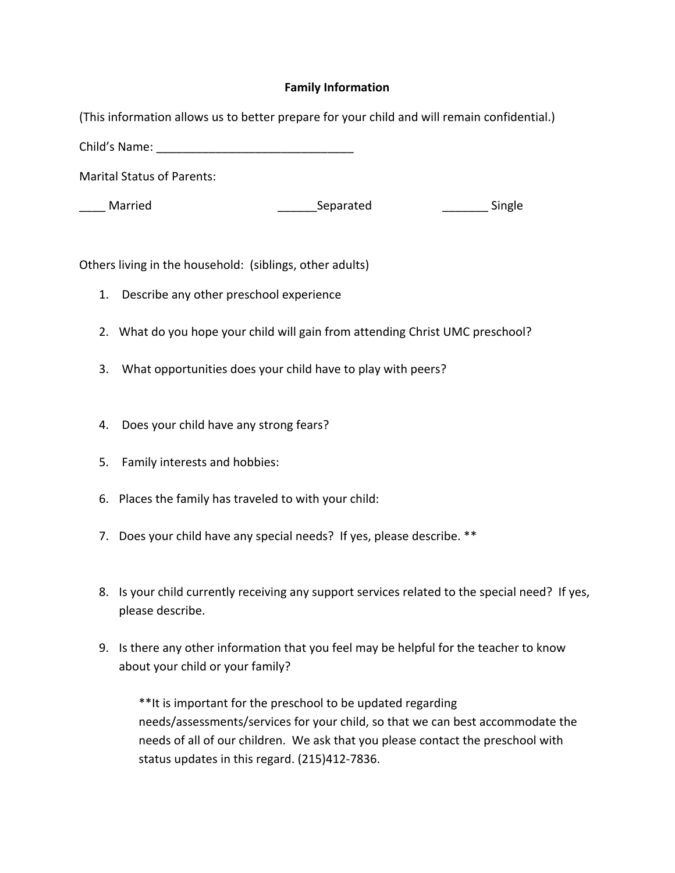## **Family Information**

(This information allows us to better prepare for your child and will remain confidential.)

Child's Name: **We have: Child's** Name:

Marital Status of Parents:

Married **Example 20** Separated **Separated** Single

Others living in the household: (siblings, other adults)

- 1. Describe any other preschool experience
- 2. What do you hope your child will gain from attending Christ UMC preschool?
- 3. What opportunities does your child have to play with peers?
- 4. Does your child have any strong fears?
- 5. Family interests and hobbies:
- 6. Places the family has traveled to with your child:
- 7. Does your child have any special needs? If yes, please describe. \*\*
- 8. Is your child currently receiving any support services related to the special need? If yes, please describe.
- 9. Is there any other information that you feel may be helpful for the teacher to know about your child or your family?

\*\*It is important for the preschool to be updated regarding needs/assessments/services for your child, so that we can best accommodate the needs of all of our children. We ask that you please contact the preschool with status updates in this regard. (215)412-7836.